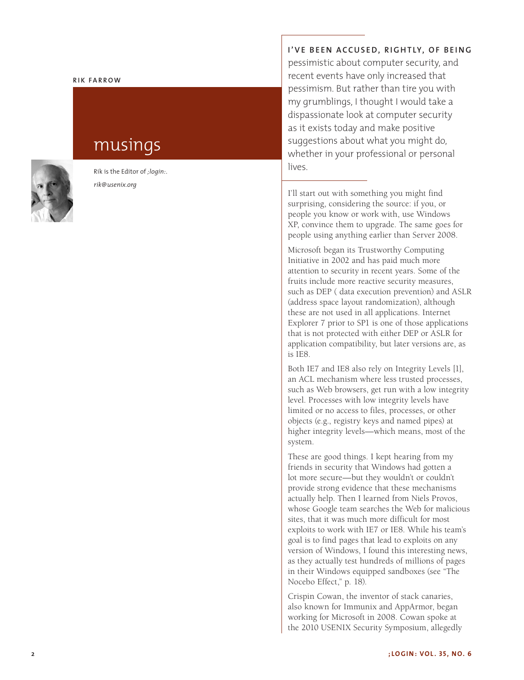#### **RIK FARROW**

# musings



Rik is the Editor of *;login:* . *rik@usenix.org*

### I'VE BEEN ACCUSED, RIGHTLY, OF BEING

pessimistic about computer security, and recent events have only increased that pessimism. But rather than tire you with my grumblings, I thought I would take a dispassionate look at computer security as it exists today and make positive suggestions about what you might do, whether in your professional or personal lives.

I'll start out with something you might find surprising, considering the source: if you, or people you know or work with, use Windows XP, convince them to upgrade. The same goes for people using anything earlier than Server 2008.

Microsoft began its Trustworthy Computing Initiative in 2002 and has paid much more attention to security in recent years. Some of the fruits include more reactive security measures, such as DEP ( data execution prevention) and ASLR (address space layout randomization), although these are not used in all applications. Internet Explorer 7 prior to SP1 is one of those applications that is not protected with either DEP or ASLR for application compatibility, but later versions are, as is IE8.

Both IE7 and IE8 also rely on Integrity Levels [1], an ACL mechanism where less trusted processes, such as Web browsers, get run with a low integrity level. Processes with low integrity levels have limited or no access to files, processes, or other objects (e.g., registry keys and named pipes) at higher integrity levels—which means, most of the system.

These are good things. I kept hearing from my friends in security that Windows had gotten a lot more secure—but they wouldn't or couldn't provide strong evidence that these mechanisms actually help. Then I learned from Niels Provos, whose Google team searches the Web for malicious sites, that it was much more difficult for most exploits to work with IE7 or IE8. While his team's goal is to find pages that lead to exploits on any version of Windows, I found this interesting news, as they actually test hundreds of millions of pages in their Windows equipped sandboxes (see "The Nocebo Effect," p. 18).

Crispin Cowan, the inventor of stack canaries, also known for Immunix and AppArmor, began working for Microsoft in 2008. Cowan spoke at the 2010 USENIX Security Symposium, allegedly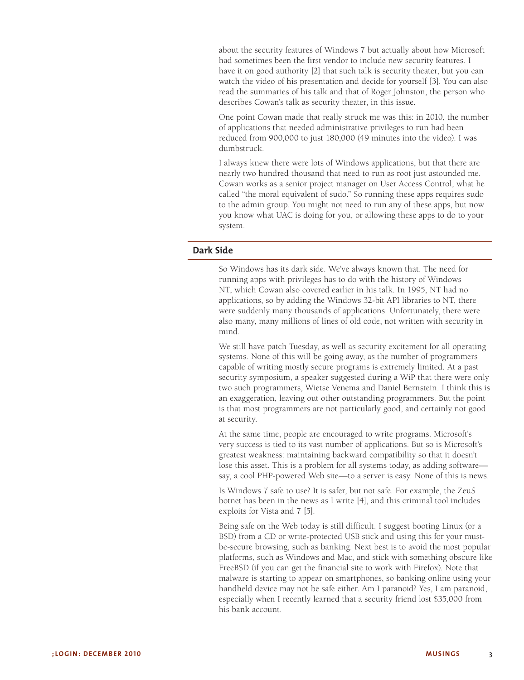about the security features of Windows 7 but actually about how Microsoft had sometimes been the first vendor to include new security features. I have it on good authority [2] that such talk is security theater, but you can watch the video of his presentation and decide for yourself [3]. You can also read the summaries of his talk and that of Roger Johnston, the person who describes Cowan's talk as security theater, in this issue.

One point Cowan made that really struck me was this: in 2010, the number of applications that needed administrative privileges to run had been reduced from 900,000 to just 180,000 (49 minutes into the video). I was dumbstruck.

I always knew there were lots of Windows applications, but that there are nearly two hundred thousand that need to run as root just astounded me. Cowan works as a senior project manager on User Access Control, what he called "the moral equivalent of sudo." So running these apps requires sudo to the admin group. You might not need to run any of these apps, but now you know what UAC is doing for you, or allowing these apps to do to your system.

## **Dark Side**

So Windows has its dark side. We've always known that. The need for running apps with privileges has to do with the history of Windows NT, which Cowan also covered earlier in his talk. In 1995, NT had no applications, so by adding the Windows 32-bit API libraries to NT, there were suddenly many thousands of applications. Unfortunately, there were also many, many millions of lines of old code, not written with security in mind.

We still have patch Tuesday, as well as security excitement for all operating systems. None of this will be going away, as the number of programmers capable of writing mostly secure programs is extremely limited. At a past security symposium, a speaker suggested during a WiP that there were only two such programmers, Wietse Venema and Daniel Bernstein. I think this is an exaggeration, leaving out other outstanding programmers. But the point is that most programmers are not particularly good, and certainly not good at security.

At the same time, people are encouraged to write programs. Microsoft's very success is tied to its vast number of applications. But so is Microsoft's greatest weakness: maintaining backward compatibility so that it doesn't lose this asset. This is a problem for all systems today, as adding software say, a cool PHP-powered Web site—to a server is easy. None of this is news.

Is Windows 7 safe to use? It is safer, but not safe. For example, the ZeuS botnet has been in the news as I write [4], and this criminal tool includes exploits for Vista and 7 [5].

Being safe on the Web today is still difficult. I suggest booting Linux (or a BSD) from a CD or write-protected USB stick and using this for your mustbe-secure browsing, such as banking. Next best is to avoid the most popular platforms, such as Windows and Mac, and stick with something obscure like FreeBSD (if you can get the financial site to work with Firefox). Note that malware is starting to appear on smartphones, so banking online using your handheld device may not be safe either. Am I paranoid? Yes, I am paranoid, especially when I recently learned that a security friend lost \$35,000 from his bank account.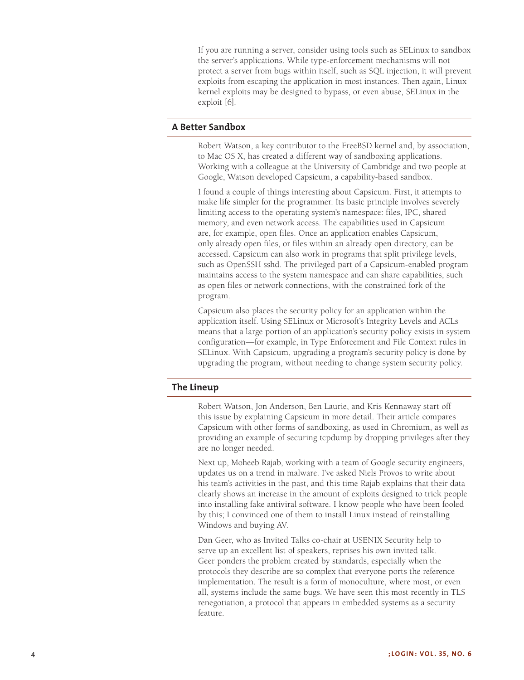If you are running a server, consider using tools such as SELinux to sandbox the server's applications. While type-enforcement mechanisms will not protect a server from bugs within itself, such as SQL injection, it will prevent exploits from escaping the application in most instances. Then again, Linux kernel exploits may be designed to bypass, or even abuse, SELinux in the exploit [6].

### **A Better Sandbox**

Robert Watson, a key contributor to the FreeBSD kernel and, by association, to Mac OS X, has created a different way of sandboxing applications. Working with a colleague at the University of Cambridge and two people at Google, Watson developed Capsicum, a capability-based sandbox.

I found a couple of things interesting about Capsicum. First, it attempts to make life simpler for the programmer. Its basic principle involves severely limiting access to the operating system's namespace: files, IPC, shared memory, and even network access. The capabilities used in Capsicum are, for example, open files. Once an application enables Capsicum, only already open files, or files within an already open directory, can be accessed. Capsicum can also work in programs that split privilege levels, such as OpenSSH sshd. The privileged part of a Capsicum-enabled program maintains access to the system namespace and can share capabilities, such as open files or network connections, with the constrained fork of the program.

Capsicum also places the security policy for an application within the application itself. Using SELinux or Microsoft's Integrity Levels and ACLs means that a large portion of an application's security policy exists in system configuration—for example, in Type Enforcement and File Context rules in SELinux. With Capsicum, upgrading a program's security policy is done by upgrading the program, without needing to change system security policy.

#### **The Lineup**

Robert Watson, Jon Anderson, Ben Laurie, and Kris Kennaway start off this issue by explaining Capsicum in more detail. Their article compares Capsicum with other forms of sandboxing, as used in Chromium, as well as providing an example of securing tcpdump by dropping privileges after they are no longer needed.

Next up, Moheeb Rajab, working with a team of Google security engineers, updates us on a trend in malware. I've asked Niels Provos to write about his team's activities in the past, and this time Rajab explains that their data clearly shows an increase in the amount of exploits designed to trick people into installing fake antiviral software. I know people who have been fooled by this; I convinced one of them to install Linux instead of reinstalling Windows and buying AV.

Dan Geer, who as Invited Talks co-chair at USENIX Security help to serve up an excellent list of speakers, reprises his own invited talk. Geer ponders the problem created by standards, especially when the protocols they describe are so complex that everyone ports the reference implementation. The result is a form of monoculture, where most, or even all, systems include the same bugs. We have seen this most recently in TLS renegotiation, a protocol that appears in embedded systems as a security feature.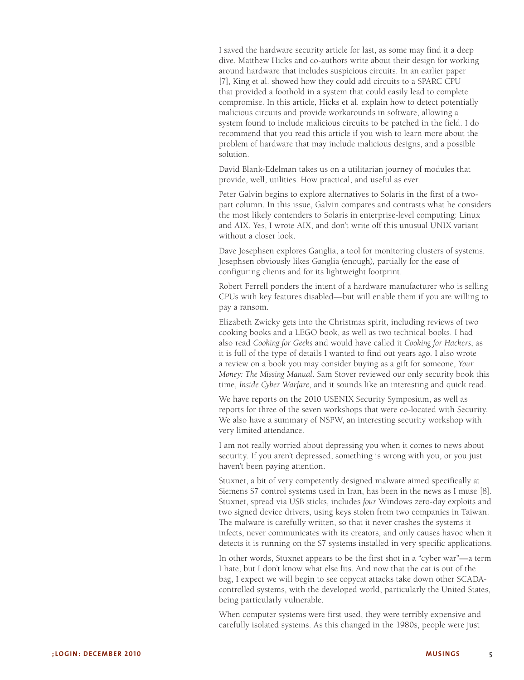I saved the hardware security article for last, as some may find it a deep dive. Matthew Hicks and co-authors write about their design for working around hardware that includes suspicious circuits. In an earlier paper [7], King et al. showed how they could add circuits to a SPARC CPU that provided a foothold in a system that could easily lead to complete compromise. In this article, Hicks et al. explain how to detect potentially malicious circuits and provide workarounds in software, allowing a system found to include malicious circuits to be patched in the field. I do recommend that you read this article if you wish to learn more about the problem of hardware that may include malicious designs, and a possible solution.

David Blank-Edelman takes us on a utilitarian journey of modules that provide, well, utilities. How practical, and useful as ever.

Peter Galvin begins to explore alternatives to Solaris in the first of a twopart column. In this issue, Galvin compares and contrasts what he considers the most likely contenders to Solaris in enterprise-level computing: Linux and AIX. Yes, I wrote AIX, and don't write off this unusual UNIX variant without a closer look.

Dave Josephsen explores Ganglia, a tool for monitoring clusters of systems. Josephsen obviously likes Ganglia (enough), partially for the ease of configuring clients and for its lightweight footprint.

Robert Ferrell ponders the intent of a hardware manufacturer who is selling CPUs with key features disabled—but will enable them if you are willing to pay a ransom.

Elizabeth Zwicky gets into the Christmas spirit, including reviews of two cooking books and a LEGO book, as well as two technical books. I had also read *Cooking for Geeks* and would have called it *Cooking for Hackers*, as it is full of the type of details I wanted to find out years ago. I also wrote a review on a book you may consider buying as a gift for someone, *Your Money: The Missing Manual*. Sam Stover reviewed our only security book this time, *Inside Cyber Warfare*, and it sounds like an interesting and quick read.

We have reports on the 2010 USENIX Security Symposium, as well as reports for three of the seven workshops that were co-located with Security. We also have a summary of NSPW, an interesting security workshop with very limited attendance.

I am not really worried about depressing you when it comes to news about security. If you aren't depressed, something is wrong with you, or you just haven't been paying attention.

Stuxnet, a bit of very competently designed malware aimed specifically at Siemens S7 control systems used in Iran, has been in the news as I muse [8]. Stuxnet, spread via USB sticks, includes *four* Windows zero-day exploits and two signed device drivers, using keys stolen from two companies in Taiwan. The malware is carefully written, so that it never crashes the systems it infects, never communicates with its creators, and only causes havoc when it detects it is running on the S7 systems installed in very specific applications.

In other words, Stuxnet appears to be the first shot in a "cyber war"—a term I hate, but I don't know what else fits. And now that the cat is out of the bag, I expect we will begin to see copycat attacks take down other SCADAcontrolled systems, with the developed world, particularly the United States, being particularly vulnerable.

When computer systems were first used, they were terribly expensive and carefully isolated systems. As this changed in the 1980s, people were just